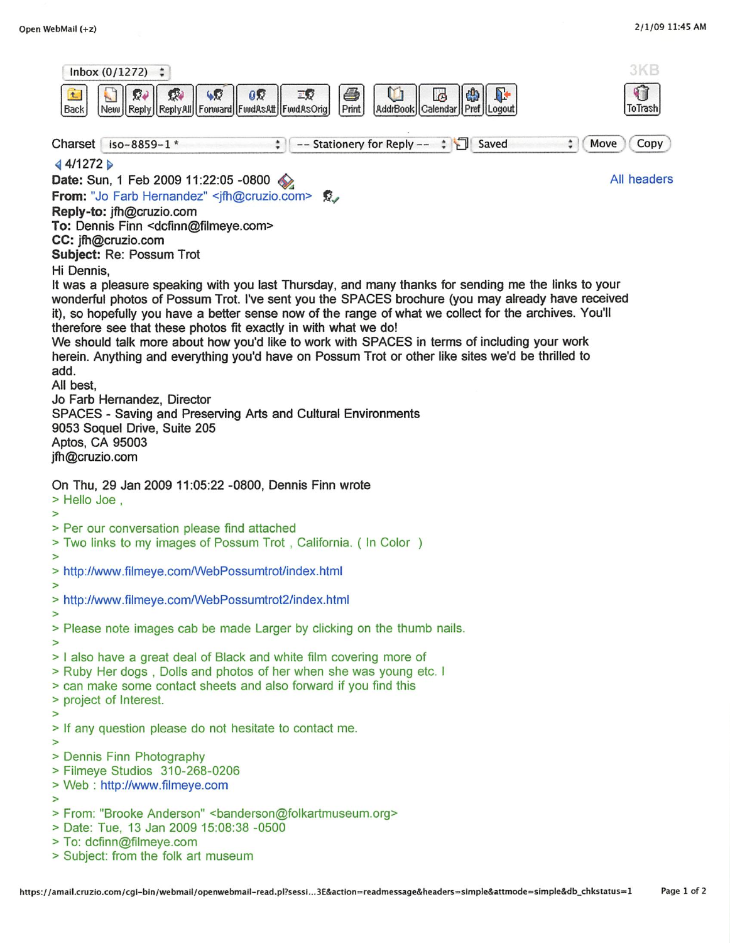